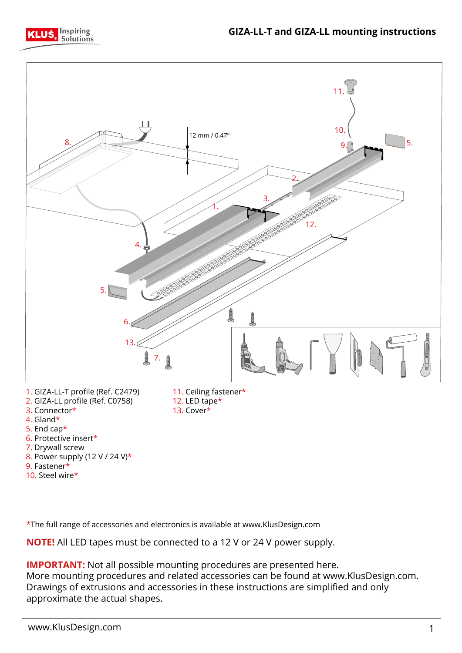



- 9. Fastener\*
- 10. Steel wire\*

\*The full range of accessories and electronics is available at www.KlusDesign.com

**NOTE!** All LED tapes must be connected to a 12 V or 24 V power supply.

**IMPORTANT:** Not all possible mounting procedures are presented here. More mounting procedures and related accessories can be found at www.KlusDesign.com. Drawings of extrusions and accessories in these instructions are simplified and only

approximate the actual shapes.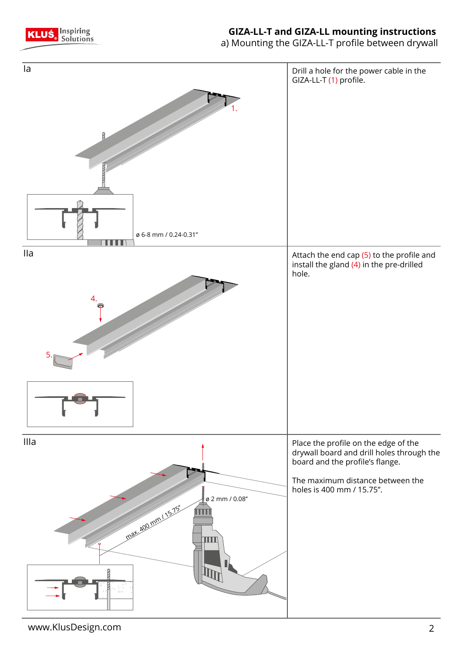

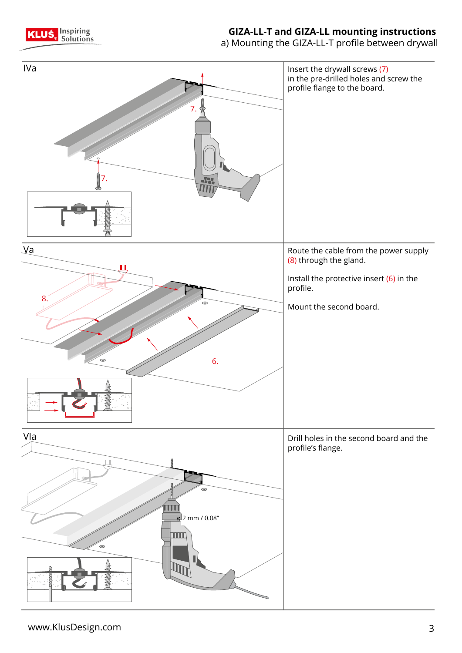

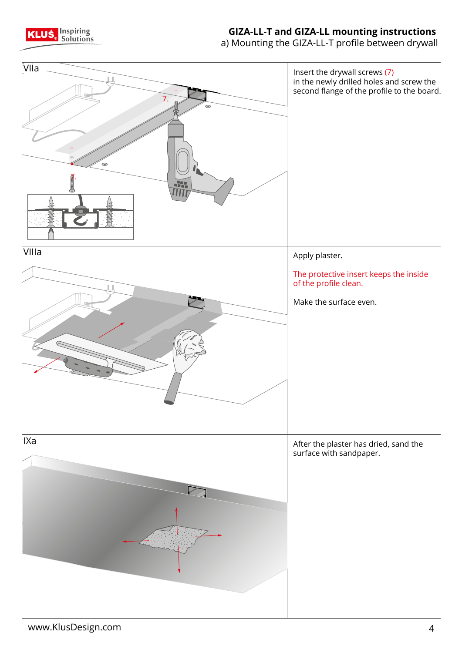

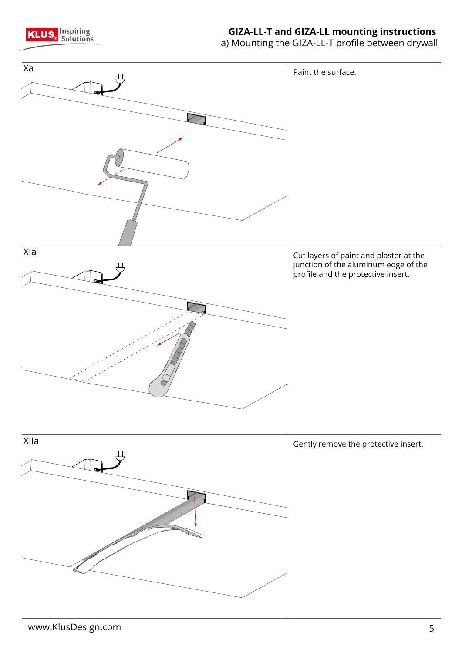

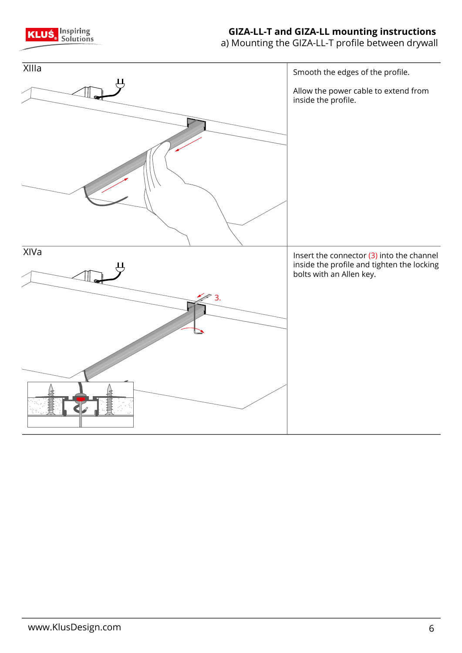

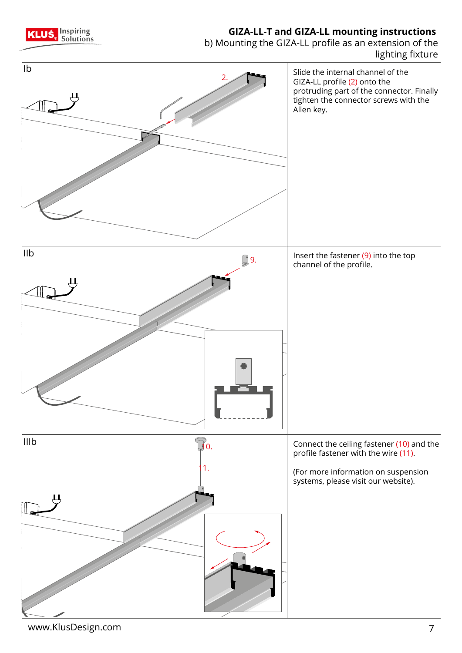

www.KlusDesign.com 7